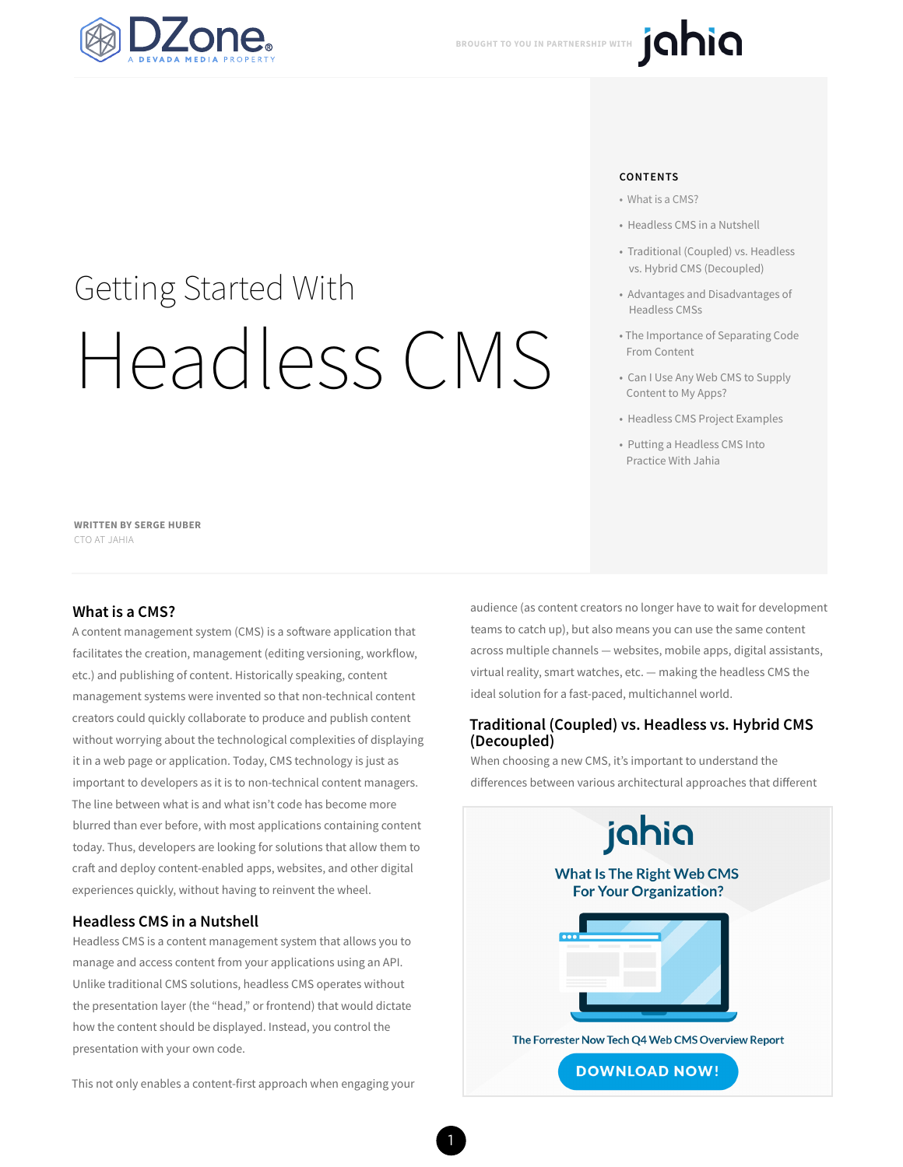

# Getting Started With Headless CMS

**WRITTEN BY SERGE HUBER** CTO AT JAHIA

#### **What is a CMS?**

A content management system (CMS) is a software application that facilitates the creation, management (editing versioning, workflow, etc.) and publishing of content. Historically speaking, content management systems were invented so that non-technical content creators could quickly collaborate to produce and publish content without worrying about the technological complexities of displaying it in a web page or application. Today, CMS technology is just as important to developers as it is to non-technical content managers. The line between what is and what isn't code has become more blurred than ever before, with most applications containing content today. Thus, developers are looking for solutions that allow them to craft and deploy content-enabled apps, websites, and other digital experiences quickly, without having to reinvent the wheel.

#### **Headless CMS in a Nutshell**

Headless CMS is a content management system that allows you to manage and access content from your applications using an API. Unlike traditional CMS solutions, headless CMS operates without the presentation layer (the "head," or frontend) that would dictate how the content should be displayed. Instead, you control the presentation with your own code.

This not only enables a content-first approach when engaging your

#### **CONTENTS**

- What is a CMS?
- Headless CMS in a Nutshell
- Traditional (Coupled) vs. Headless vs. Hybrid CMS (Decoupled)
- Advantages and Disadvantages of Headless CMSs
- The Importance of Separating Code From Content
- Can I Use Any Web CMS to Supply Content to My Apps?
- Headless CMS Project Examples
- Putting a Headless CMS Into Practice With Jahia

audience (as content creators no longer have to wait for development teams to catch up), but also means you can use the same content across multiple channels — websites, mobile apps, digital assistants, virtual reality, smart watches, etc. — making the headless CMS the ideal solution for a fast-paced, multichannel world.

#### **Traditional (Coupled) vs. Headless vs. Hybrid CMS (Decoupled)**

When choosing a new CMS, it's important to understand the differences between various architectural approaches that different

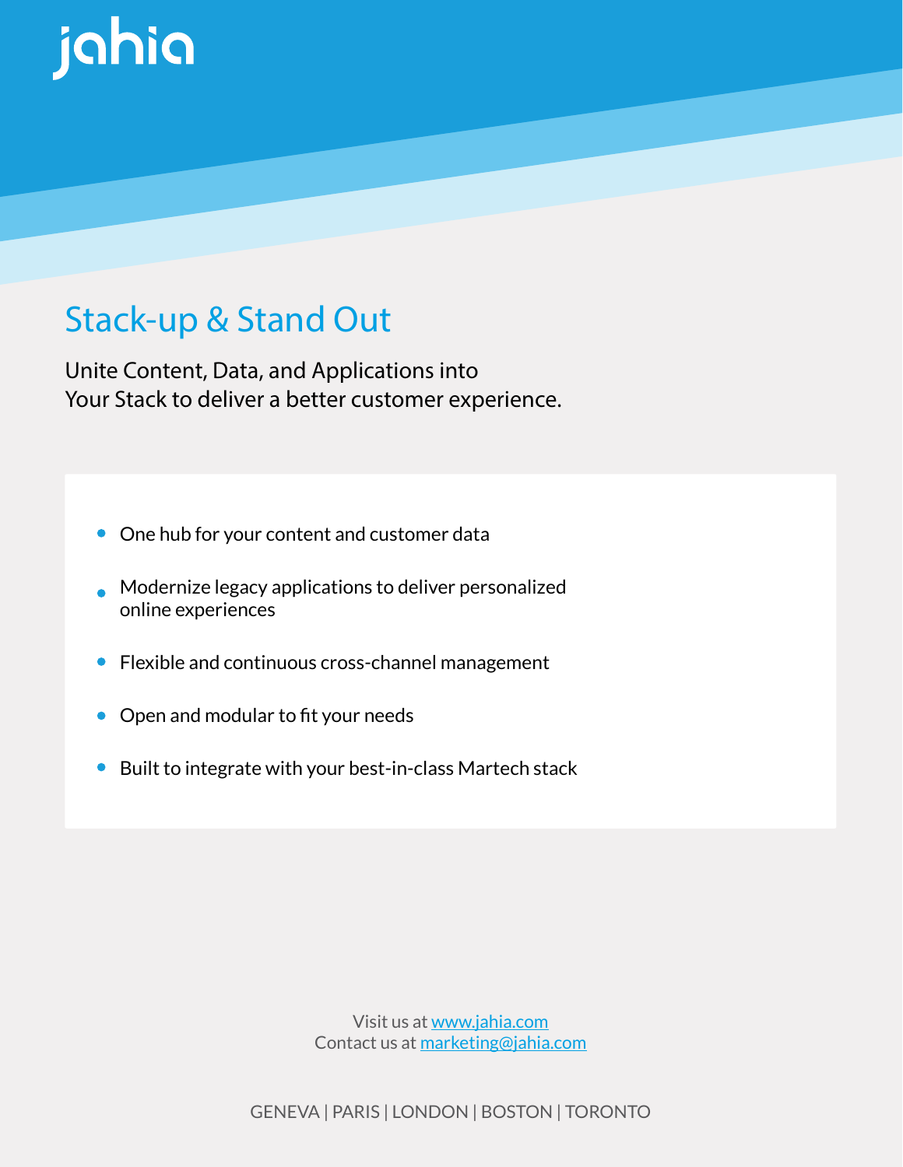

# [Stack-up & Stand Out](https://www.jahia.com/resources/reports/forrester-now-tech-web-content-management-systems-q4-2018)

Unite Content, Data, and Applications into Your Stack to deliver a better customer experience.

- One hub for your content and customer data
- **Modernize legacy applications to deliver personalized** online experiences
- Flexible and continuous cross-channel management
- Open and modular to fit your needs
- Built to integrate with your best-in-class Martech stack

Visit us at www.jahia.com Contact us at marketing@jahia.com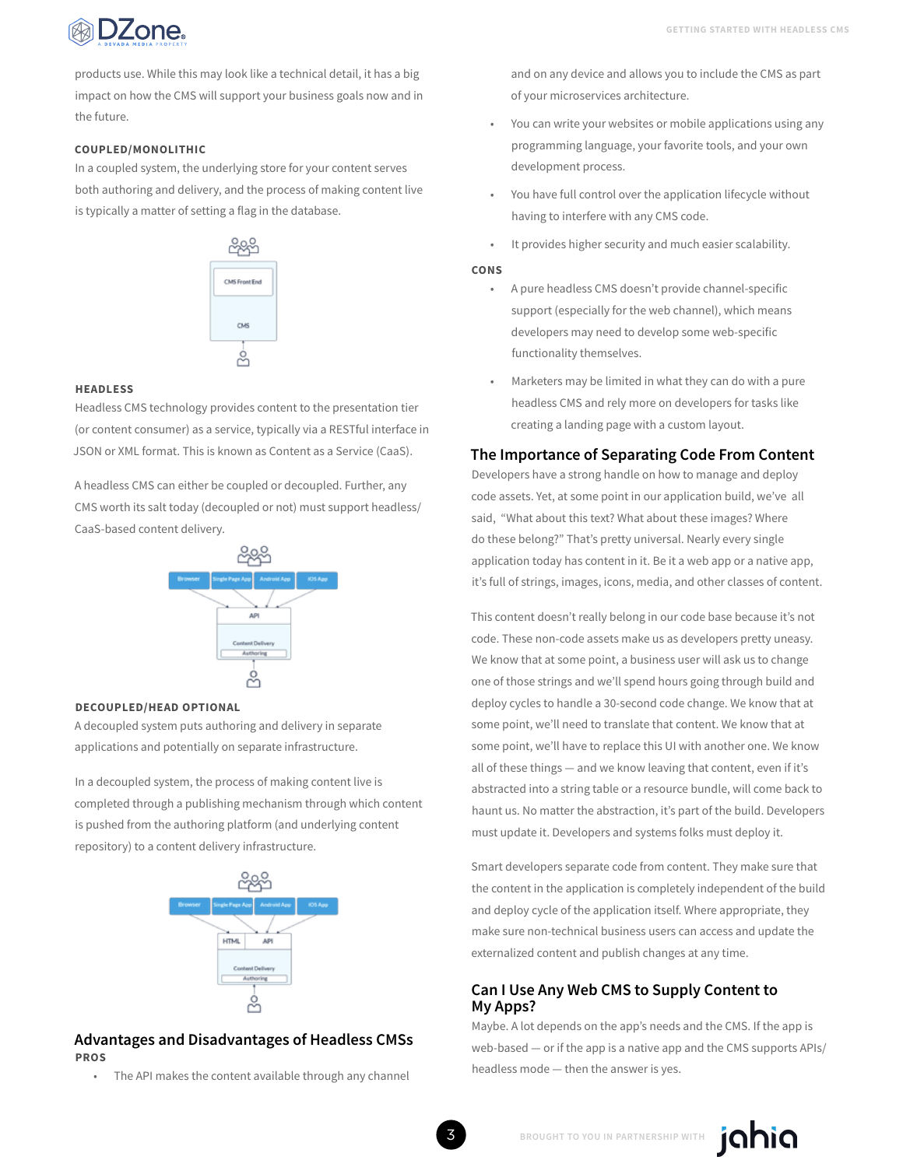

products use. While this may look like a technical detail, it has a big impact on how the CMS will support your business goals now and in the future.

#### **COUPLED/MONOLITHIC**

In a coupled system, the underlying store for your content serves both authoring and delivery, and the process of making content live is typically a matter of setting a flag in the database.



#### **HEADLESS**

Headless CMS technology provides content to the presentation tier (or content consumer) as a service, typically via a RESTful interface in JSON or XML format. This is known as Content as a Service (CaaS).

A headless CMS can either be coupled or decoupled. Further, any CMS worth its salt today (decoupled or not) must support headless/ CaaS-based content delivery.



#### **DECOUPLED/HEAD OPTIONAL**

A decoupled system puts authoring and delivery in separate applications and potentially on separate infrastructure.

In a decoupled system, the process of making content live is completed through a publishing mechanism through which content is pushed from the authoring platform (and underlying content repository) to a content delivery infrastructure.



#### **Advantages and Disadvantages of Headless CMSs PROS**

The API makes the content available through any channel

and on any device and allows you to include the CMS as part of your microservices architecture.

- You can write your websites or mobile applications using any programming language, your favorite tools, and your own development process.
- You have full control over the application lifecycle without having to interfere with any CMS code.
- It provides higher security and much easier scalability.

#### **CONS**

- A pure headless CMS doesn't provide channel-specific support (especially for the web channel), which means developers may need to develop some web-specific functionality themselves.
- Marketers may be limited in what they can do with a pure headless CMS and rely more on developers for tasks like creating a landing page with a custom layout.

#### **The Importance of Separating Code From Content**

Developers have a strong handle on how to manage and deploy code assets. Yet, at some point in our application build, we've all said, "What about this text? What about these images? Where do these belong?" That's pretty universal. Nearly every single application today has content in it. Be it a web app or a native app, it's full of strings, images, icons, media, and other classes of content.

This content doesn't really belong in our code base because it's not code. These non-code assets make us as developers pretty uneasy. We know that at some point, a business user will ask us to change one of those strings and we'll spend hours going through build and deploy cycles to handle a 30-second code change. We know that at some point, we'll need to translate that content. We know that at some point, we'll have to replace this UI with another one. We know all of these things — and we know leaving that content, even if it's abstracted into a string table or a resource bundle, will come back to haunt us. No matter the abstraction, it's part of the build. Developers must update it. Developers and systems folks must deploy it.

Smart developers separate code from content. They make sure that the content in the application is completely independent of the build and deploy cycle of the application itself. Where appropriate, they make sure non-technical business users can access and update the externalized content and publish changes at any time.

#### **Can I Use Any Web CMS to Supply Content to My Apps?**

Maybe. A lot depends on the app's needs and the CMS. If the app is web-based — or if the app is a native app and the CMS supports APIs/ headless mode — then the answer is yes.

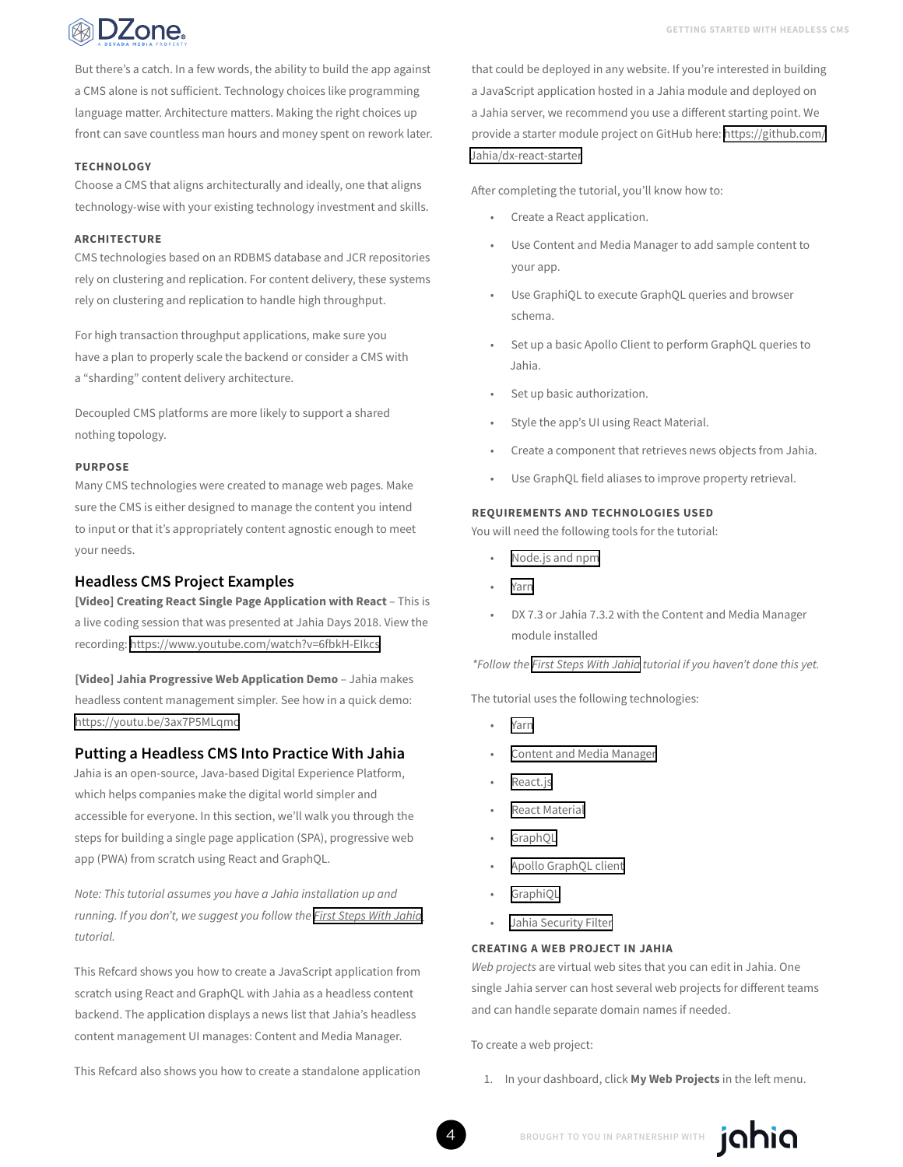

DZone.

But there's a catch. In a few words, the ability to build the app against a CMS alone is not sufficient. Technology choices like programming language matter. Architecture matters. Making the right choices up front can save countless man hours and money spent on rework later.

#### **TECHNOLOGY**

Choose a CMS that aligns architecturally and ideally, one that aligns technology-wise with your existing technology investment and skills.

#### **ARCHITECTURE**

CMS technologies based on an RDBMS database and JCR repositories rely on clustering and replication. For content delivery, these systems rely on clustering and replication to handle high throughput.

For high transaction throughput applications, make sure you have a plan to properly scale the backend or consider a CMS with a "sharding" content delivery architecture.

Decoupled CMS platforms are more likely to support a shared nothing topology.

#### **PURPOSE**

Many CMS technologies were created to manage web pages. Make sure the CMS is either designed to manage the content you intend to input or that it's appropriately content agnostic enough to meet your needs.

#### **Headless CMS Project Examples**

**[Video] Creating React Single Page Application with React** – This is a live coding session that was presented at Jahia Days 2018. View the recording:<https://www.youtube.com/watch?v=6fbkH-EIkcs>

**[Video] Jahia Progressive Web Application Demo** – Jahia makes headless content management simpler. See how in a quick demo: <https://youtu.be/3ax7P5MLqmc>

#### **Putting a Headless CMS Into Practice With Jahia**

Jahia is an open-source, Java-based Digital Experience Platform, which helps companies make the digital world simpler and accessible for everyone. In this section, we'll walk you through the steps for building a single page application (SPA), progressive web app (PWA) from scratch using React and GraphQL.

*Note: This tutorial assumes you have a Jahia installation up and running. If you don't, we suggest you follow the [First Steps With Jahia](https://academy.jahia.com/documentation/developer/dx/7.3/first-steps-with-jahia) tutorial.*

This Refcard shows you how to create a JavaScript application from scratch using React and GraphQL with Jahia as a headless content backend. The application displays a news list that Jahia's headless content management UI manages: Content and Media Manager.

This Refcard also shows you how to create a standalone application

that could be deployed in any website. If you're interested in building a JavaScript application hosted in a Jahia module and deployed on a Jahia server, we recommend you use a different starting point. We provide a starter module project on GitHub here: [https://github.com/](https://github.com/Jahia/dx-react-starter) [Jahia/dx-react-starter](https://github.com/Jahia/dx-react-starter)

After completing the tutorial, you'll know how to:

- Create a React application.
- Use Content and Media Manager to add sample content to your app.
- Use GraphiQL to execute GraphQL queries and browser schema.
- Set up a basic Apollo Client to perform GraphQL queries to Jahia.
- Set up basic authorization.
- Style the app's UI using React Material.
- Create a component that retrieves news objects from Jahia.
- Use GraphQL field aliases to improve property retrieval.

#### **REQUIREMENTS AND TECHNOLOGIES USED**

You will need the following tools for the tutorial:

- [Node.js and npm](https://nodejs.org/en/)
- [Yarn](https://yarnpkg.com/en/)
- DX 7.3 or Jahia 7.3.2 with the Content and Media Manager module installed

*\*Follow the [First Steps With Jahia](https://academy.jahia.com/documentation/developer/dx/7.3/first-steps-with-jahia) tutorial if you haven't done this yet.*

The tutorial uses the following technologies:

- [Yarn](https://yarnpkg.com/)
- [Content and Media Manager](https://academy.jahia.com/documentation/enduser/dx/7.3/using-jahia/using-and-customizing-content-and-media-manager)
- [React.js](https://reactjs.org/)
- [React Material](https://material-ui.com/)
- [GraphQL](https://graphql.org/)
- [Apollo GraphQL client](https://www.apollographql.com/docs/react/)
- [GraphiQL](https://github.com/graphql/graphiql)
- [Jahia Security Filter](https://github.com/Jahia/security-filter)

#### **CREATING A WEB PROJECT IN JAHIA**

*Web projects* are virtual web sites that you can edit in Jahia. One single Jahia server can host several web projects for different teams and can handle separate domain names if needed.

To create a web project:

1. In your dashboard, click **My Web Projects** in the left menu.



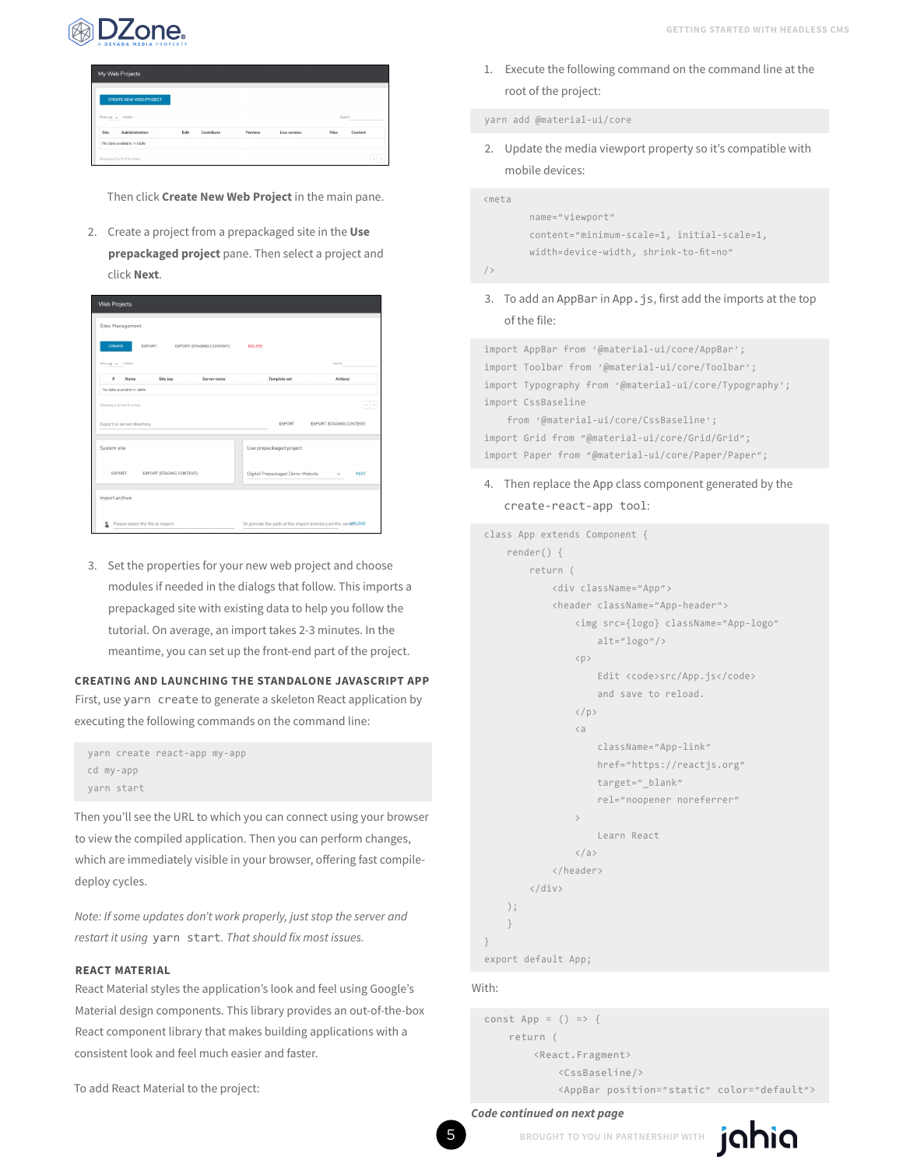

| My Web Projects               |                    |         |              |       |         |
|-------------------------------|--------------------|---------|--------------|-------|---------|
| <b>CREATE NEW WEB-PROJECT</b> |                    |         |              |       |         |
|                               |                    |         |              |       |         |
| Show 10 + entries             |                    |         |              |       | Search: |
| Site<br>Administration        | Edit<br>Contribute | Preview | Live version | Files | Content |
| No data available in table    |                    |         |              |       |         |

Then click **Create New Web Project** in the main pane.

2. Create a project from a prepackaged site in the **Use prepackaged project** pane. Then select a project and click **Next**.

| <b>Web Projects</b>                |                          |                                   |                                                                |
|------------------------------------|--------------------------|-----------------------------------|----------------------------------------------------------------|
| Sites Management                   |                          |                                   |                                                                |
| CREATE<br>EXPORT                   | EXPORT (STAGING CONTENT) | <b>DELETE</b>                     |                                                                |
| Show 10 w entries                  |                          |                                   | Search:                                                        |
| ×<br>Name<br>Site key              | Server name              | <b>Template set</b>               | Actions                                                        |
| No data available in table         |                          |                                   |                                                                |
| Showing 0 to 0 of 0 entries        |                          |                                   | $\epsilon$ .                                                   |
| Export to server directory         |                          | EXPORT                            | EXPORT ISTAGING CONTENTI                                       |
| System site                        |                          | Use prepackaged project           |                                                                |
| EXPORT<br>EXPORT (STAGING CONTENT) |                          | Digitall Prepackaged Demo Website | <b>NEXT</b>                                                    |
| Import archive                     |                          |                                   |                                                                |
| Please select the file to import.  |                          |                                   | Or provide the path of the import directory on the server LOAD |

3. Set the properties for your new web project and choose modules if needed in the dialogs that follow. This imports a prepackaged site with existing data to help you follow the tutorial. On average, an import takes 2-3 minutes. In the meantime, you can set up the front-end part of the project.

#### **CREATING AND LAUNCHING THE STANDALONE JAVASCRIPT APP** First, use yarn create to generate a skeleton React application by executing the following commands on the command line:

```
yarn create react-app my-app
cd my-app
yarn start
```
Then you'll see the URL to which you can connect using your browser to view the compiled application. Then you can perform changes, which are immediately visible in your browser, offering fast compiledeploy cycles.

*Note: If some updates don't work properly, just stop the server and restart it using* yarn start*. That should fix most issues.*

#### **REACT MATERIAL**

React Material styles the application's look and feel using Google's Material design components. This library provides an out-of-the-box React component library that makes building applications with a consistent look and feel much easier and faster.

To add React Material to the project:

1. Execute the following command on the command line at the root of the project:

yarn add @material-ui/core

2. Update the media viewport property so it's compatible with mobile devices:

<meta

```
 name="viewport"
 content="minimum-scale=1, initial-scale=1,
 width=device-width, shrink-to-fit=no"
```
 $/ \, >$ 

3. To add an AppBar in App.js, first add the imports at the top of the file:

import AppBar from '@material-ui/core/AppBar'; import Toolbar from '@material-ui/core/Toolbar'; import Typography from '@material-ui/core/Typography'; import CssBaseline

 from '@material-ui/core/CssBaseline'; import Grid from "@material-ui/core/Grid/Grid"; import Paper from "@material-ui/core/Paper/Paper";

4. Then replace the App class component generated by the create-react-app tool:

```
class App extends Component {
     render() {
         return (
               <div className="App">
               <header className="App-header">
                    <img src={logo} className="App-logo"
                         alt="logo"/>
                   \langle D \rangleEdit <code>src/App.js</code>
                          and save to reload.
                    \langle/p\rangle\sima ang pangalang sa pangalang ka
                          className="App-link"
                         href="https://reactjs.org"
                         target=" blank"
                          rel="noopener noreferrer"
\rightarrow \rightarrow \rightarrow \rightarrow Learn React
                   \langle/a>
                </header>
           </div>
     );
     }
}
```
export default App;

#### With:

```
const App = () => {
     return (
         <React.Fragment>
             <CssBaseline/>
             <AppBar position="static" color="default">
```
#### *Code continued on next page*

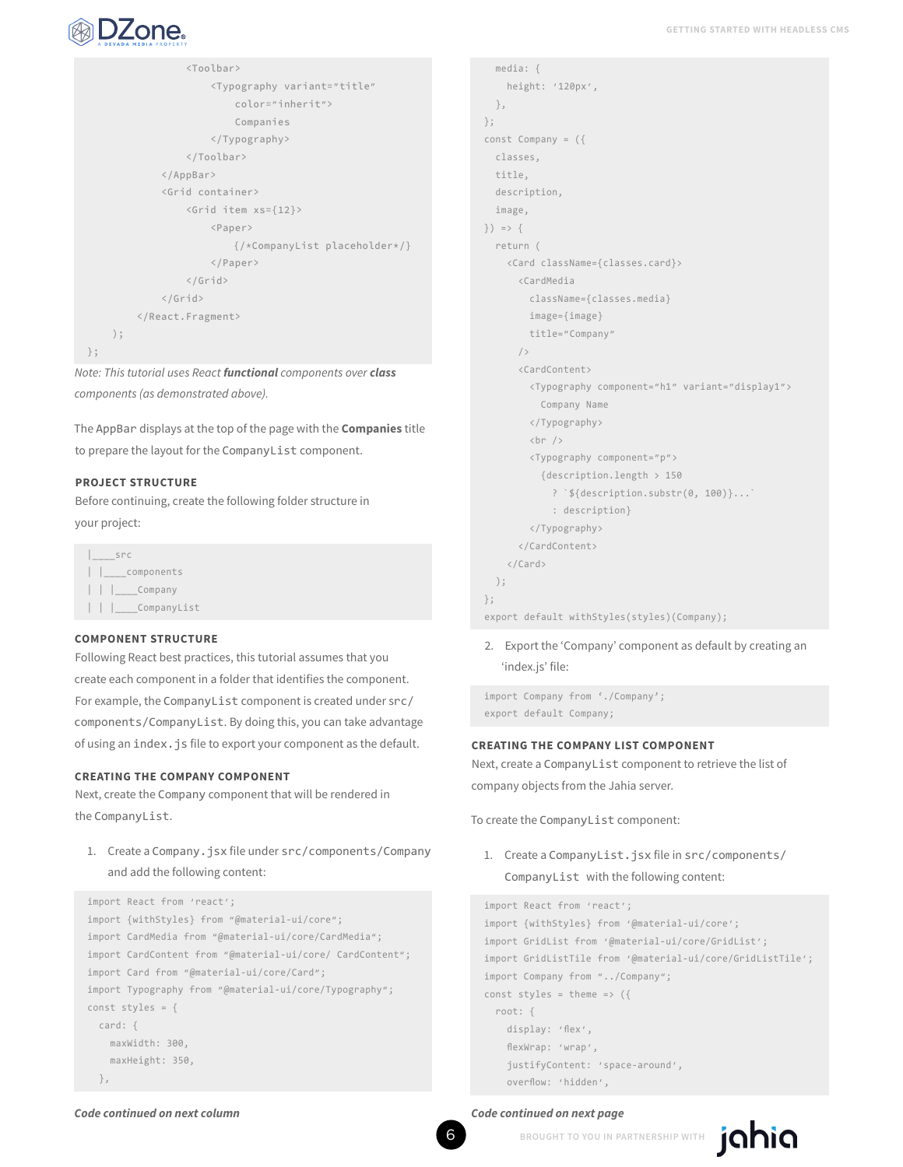

```
 <Toolbar>
                       <Typography variant="title"
                           color="inherit">
                           Companies
                       </Typography>
                  </Toolbar>
              </AppBar>
              <Grid container>
                  <Grid item xs={12}>
                      <Paper>
                           {/*CompanyList placeholder*/}
                      </Paper>
                  </Grid>
              </Grid>
         </React.Fragment>
     );
};
```
*Note: This tutorial uses React functional components over class components (as demonstrated above).*

The AppBar displays at the top of the page with the **Companies** title to prepare the layout for the CompanyList component.

#### **PROJECT STRUCTURE**

Before continuing, create the following folder structure in your project:

|\_\_\_\_src | | components | | |\_\_\_\_Company | | |\_\_\_\_CompanyList

#### **COMPONENT STRUCTURE**

Following React best practices, this tutorial assumes that you create each component in a folder that identifies the component. For example, the CompanyList component is created under src/ components/CompanyList. By doing this, you can take advantage of using an index.js file to export your component as the default.

#### **CREATING THE COMPANY COMPONENT**

Next, create the Company component that will be rendered in the CompanyList.

1. Create a Company.jsx file under src/components/Company and add the following content:

```
import React from 'react';
```

```
import {withStyles} from "@material-ui/core";
import CardMedia from "@material-ui/core/CardMedia";
import CardContent from "@material-ui/core/ CardContent";
import Card from "@material-ui/core/Card";
import Typography from "@material-ui/core/Typography";
const styles = {
  card: {
     maxWidth: 300,
     maxHeight: 350,
   },
```

```
 media: {
     height: '120px',
   },
};
const Company = ({
   classes,
  title,
  description,
   image,
}) => {
   return (
     <Card className={classes.card}>
       <CardMedia
        className={classes.media}
        image={image}
         title="Company"
       />
       <CardContent>
         <Typography component="h1" variant="display1">
           Company Name
         </Typography>
        \text{chr} />
         <Typography component="p">
           {description.length > 150
             ? `${description.substr(0, 100)}...`
             : description}
         </Typography>
       </CardContent>
     </Card>
   );
};
export default withStyles(styles)(Company);
```
2. Export the 'Company' component as default by creating an 'index.js' file:

import Company from './Company'; export default Company;

#### **CREATING THE COMPANY LIST COMPONENT**

Next, create a CompanyList component to retrieve the list of company objects from the Jahia server.

To create the CompanyList component:

1. Create a CompanyList.jsx file in src/components/ CompanyList with the following content:

```
import React from 'react';
import {withStyles} from '@material-ui/core';
import GridList from '@material-ui/core/GridList';
import GridListTile from '@material-ui/core/GridListTile';
import Company from "../Company";
const styles = theme => ( root: {
     display: 'flex',
     flexWrap: 'wrap',
     justifyContent: 'space-around',
     overflow: 'hidden',
```
jahia

#### *Code continued on next column Code continued on next page*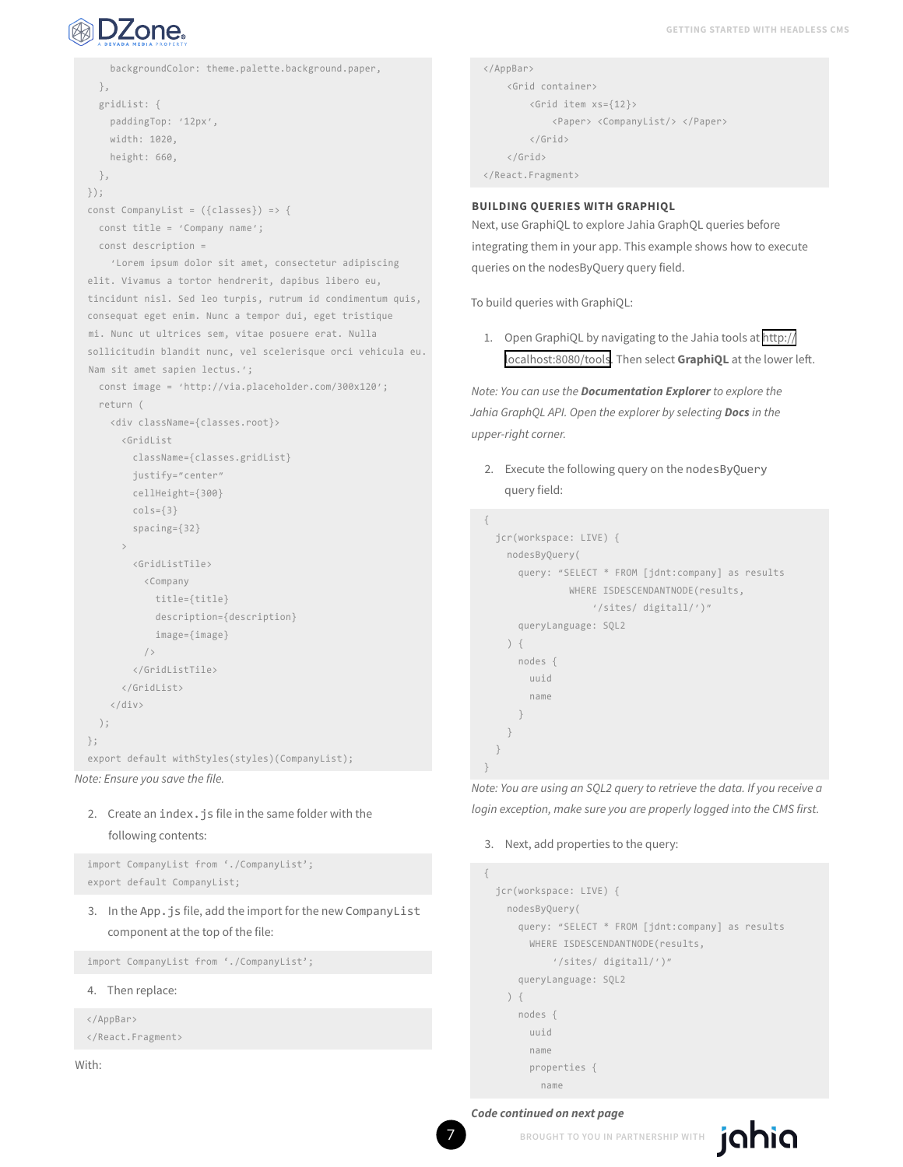

```
 backgroundColor: theme.palette.background.paper,
   },
   gridList: {
    paddingTop: '12px',
     width: 1020,
    height: 660,
  },
});
const CompanyList = ({\{ \text{classes} \}} => {
  const title = 'Company name';
  const description =
     'Lorem ipsum dolor sit amet, consectetur adipiscing 
elit. Vivamus a tortor hendrerit, dapibus libero eu, 
tincidunt nisl. Sed leo turpis, rutrum id condimentum quis, 
consequat eget enim. Nunc a tempor dui, eget tristique 
mi. Nunc ut ultrices sem, vitae posuere erat. Nulla 
sollicitudin blandit nunc, vel scelerisque orci vehicula eu. 
Nam sit amet sapien lectus.';
  const image = 'http://via.placeholder.com/300x120';
  return (
    <div className={classes.root}>
      <GridList
        className={classes.gridList}
         justify="center"
        cellHeight={300}
        cols={3}
         spacing={32}
\longrightarrow <GridListTile>
          <Company
             title={title}
             description={description}
             image={image}
          / </GridListTile>
       </GridList>
     </div>
   );
};
export default withStyles(styles)(CompanyList);
```

```
Note: Ensure you save the file.
```
## 2. Create an index. is file in the same folder with the following contents:

import CompanyList from './CompanyList'; export default CompanyList;

3. In the App. is file, add the import for the new CompanyList component at the top of the file:

import CompanyList from './CompanyList';

4. Then replace:

```
</AppBar>
</React.Fragment>
```
With:

```
</AppBar>
     <Grid container> 
         <Grid item xs={12}> 
              <Paper> <CompanyList/> </Paper>
         </Grid>
     </Grid> 
</React.Fragment>
```
#### **BUILDING QUERIES WITH GRAPHIQL**

Next, use GraphiQL to explore Jahia GraphQL queries before integrating them in your app. This example shows how to execute queries on the nodesByQuery query field.

To build queries with GraphiQL:

1. Open GraphiQL by navigating to the Jahia tools at [http://](http://localhost:8080/tools) [localhost:8080/tools](http://localhost:8080/tools). Then select **GraphiQL** at the lower left.

*Note: You can use the Documentation Explorer to explore the Jahia GraphQL API. Open the explorer by selecting Docs in the upper-right corner.*

2. Execute the following query on the nodesByQuery query field:

```
{
   jcr(workspace: LIVE) {
     nodesByQuery(
       query: "SELECT * FROM [jdnt:company] as results 
                WHERE ISDESCENDANTNODE(results,
                     '/sites/ digitall/')"
       queryLanguage: SQL2
     ) {
       nodes {
         uuid
         name
       }
     }
   }
}
```
*Note: You are using an SQL2 query to retrieve the data. If you receive a login exception, make sure you are properly logged into the CMS first.*

#### 3. Next, add properties to the query:

```
{
   jcr(workspace: LIVE) {
     nodesByQuery(
       query: "SELECT * FROM [jdnt:company] as results 
       WHERE ISDESCENDANTNODE(results,
             '/sites/ digitall/')"
       queryLanguage: SQL2
     ) {
       nodes {
         uuid
         name
         properties {
           name
```
#### *Code continued on next page*

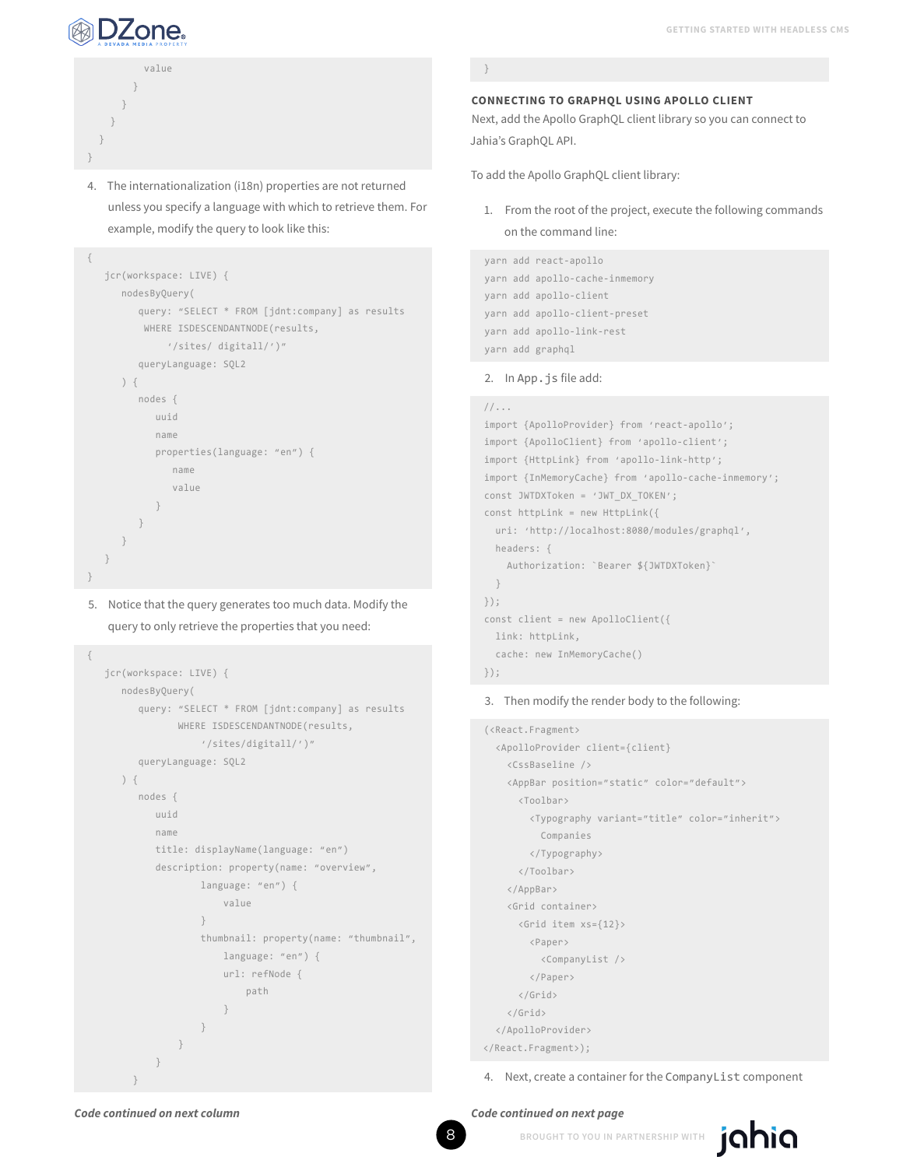

 } } } } }

{

value

 jcr(workspace: LIVE) { nodesByQuery(

) {

 } } } } }

{

 nodes { uuid name

queryLanguage: SQL2

 name value

 jcr(workspace: LIVE) { nodesByQuery(

) {

 nodes { uuid name

}<br>}<br>{}

queryLanguage: SQL2

4. The internationalization (i18n) properties are not returned unless you specify a language with which to retrieve them. For

query: "SELECT \* FROM [jdnt:company] as results

example, modify the query to look like this:

 WHERE ISDESCENDANTNODE(results, '/sites/ digitall/')"

properties(language: "en") {

5. Notice that the query generates too much data. Modify the query to only retrieve the properties that you need:

> query: "SELECT \* FROM [jdnt:company] as results WHERE ISDESCENDANTNODE(results, '/sites/digitall/')"

 title: displayName(language: "en") description: property(name: "overview", language: "en") { value

thumbnail: property(name: "thumbnail",

 language: "en") { url: refNode { path

}

#### **CONNECTING TO GRAPHQL USING APOLLO CLIENT**

Next, add the Apollo GraphQL client library so you can connect to Jahia's GraphQL API.

To add the Apollo GraphQL client library:

1. From the root of the project, execute the following commands on the command line:

```
yarn add react-apollo
yarn add apollo-cache-inmemory
yarn add apollo-client
yarn add apollo-client-preset
yarn add apollo-link-rest
yarn add graphql
```
#### 2. In App.js file add:

#### //...

```
import {ApolloProvider} from 'react-apollo';
import {ApolloClient} from 'apollo-client';
import {HttpLink} from 'apollo-link-http';
import {InMemoryCache} from 'apollo-cache-inmemory';
const JWTDXToken = 'JWT_DX_TOKEN';
const httpLink = new HttpLink(\{ uri: 'http://localhost:8080/modules/graphql',
  headers: {
     Authorization: `Bearer ${JWTDXToken}`
   }
});
const client = new ApolloClient({
  link: httpLink,
   cache: new InMemoryCache()
});
```
#### 3. Then modify the render body to the following:

```
(<React.Fragment>
  <ApolloProvider client={client}
    <CssBaseline />
    <AppBar position="static" color="default">
       <Toolbar>
        <Typography variant="title" color="inherit">
          Companies
        </Typography>
       </Toolbar>
    </AppBar>
    <Grid container>
      <Grid item xs={12}>
        <Paper>
          <CompanyList />
        </Paper>
       </Grid>
    </Grid>
  </ApolloProvider>
```
</React.Fragment>);

4. Next, create a container for the CompanyList component

```
 }
 }
```
}

*Code continued on next column Code continued on next page*

}<br>}<br>} }<br>}<br>{}

8 **BROUGHT TO YOU IN PARTNERSHIP WITH**

jahia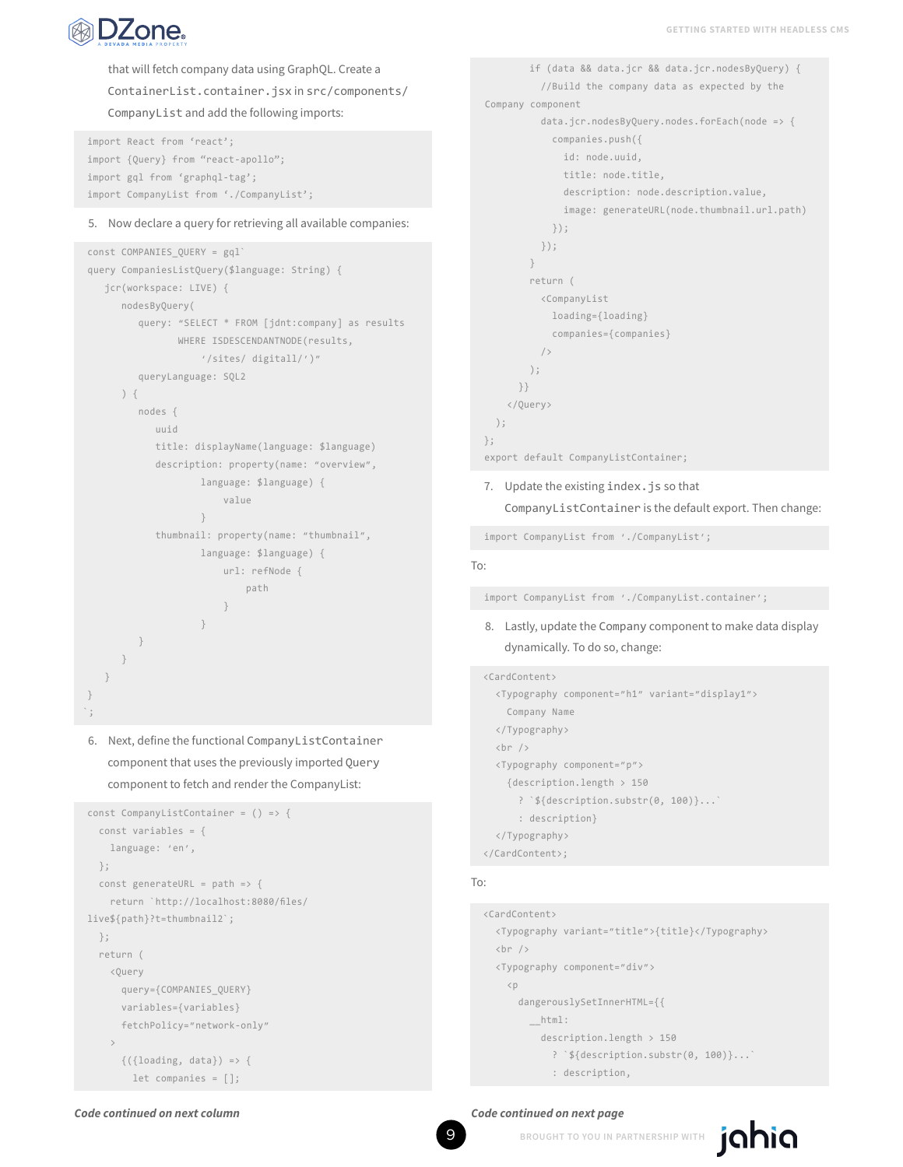

that will fetch company data using GraphQL. Create a ContainerList.container.jsx in src/components/ CompanyList and add the following imports:

```
import React from 'react';
import {Query} from "react-apollo";
import gql from 'graphql-tag';
import CompanyList from './CompanyList';
```
#### 5. Now declare a query for retrieving all available companies:

```
const COMPANIES_QUERY = gql`
query CompaniesListQuery($language: String) {
   jcr(workspace: LIVE) {
      nodesByQuery(
         query: "SELECT * FROM [jdnt:company] as results 
                WHERE ISDESCENDANTNODE(results, 
                    '/sites/ digitall/')"
         queryLanguage: SQL2
      ) {
         nodes {
            uuid
            title: displayName(language: $language)
            description: property(name: "overview", 
                    language: $language) {
                        value
}<br>}<br>{}
            thumbnail: property(name: "thumbnail", 
                    language: $language) {
                       url: refNode {
                            path
 }
}<br>}<br>{}
         }
      }
   }
}
\, ,
```
6. Next, define the functional CompanyListContainer component that uses the previously imported Query component to fetch and render the CompanyList:

```
const CompanyListContainer = () => {
   const variables = {
     language: 'en',
  };
  const generateURL = path => \{ return `http://localhost:8080/files/ 
live${path}?t=thumbnail2`;
  };
   return (
     <Query
       query={COMPANIES_QUERY}
       variables={variables}
       fetchPolicy="network-only"
\longrightarrow\{(\{\text{loading}, \text{data}\}) \Rightarrow \{ let companies = [];
```

```
 if (data && data.jcr && data.jcr.nodesByQuery) {
           //Build the company data as expected by the 
Company component
          data.jcr.nodesByQuery.nodes.forEach(node => {
             companies.push({
               id: node.uuid,
              title: node.title,
               description: node.description.value,
               image: generateURL(node.thumbnail.url.path)
             });
           });
         }
        return (
          <CompanyList
            loading={loading}
             companies={companies}
          / );
      }}
     </Query>
  );
};
export default CompanyListContainer;
```
### 7. Update the existing index.js so that CompanyListContainer is the default export. Then change:

import CompanyList from './CompanyList';

#### To:

import CompanyList from './CompanyList.container';

8. Lastly, update the Company component to make data display dynamically. To do so, change:

#### <CardContent>

```
 <Typography component="h1" variant="display1">
     Company Name
  </Typography>
  \text{chr } />
  <Typography component="p">
     {description.length > 150
       ? `${description.substr(0, 100)}...`
       : description}
   </Typography>
</CardContent>;
```
#### To:

```
<CardContent>
   <Typography variant="title">{title}</Typography>
  \text{Br} />
   <Typography component="div">
    \langle p \rangle dangerouslySetInnerHTML={{
          __html:
            description.length > 150
              ? `${description.substr(0, 100)}...`
              : description,
```
#### *Code continued on next column Code continued on next page*

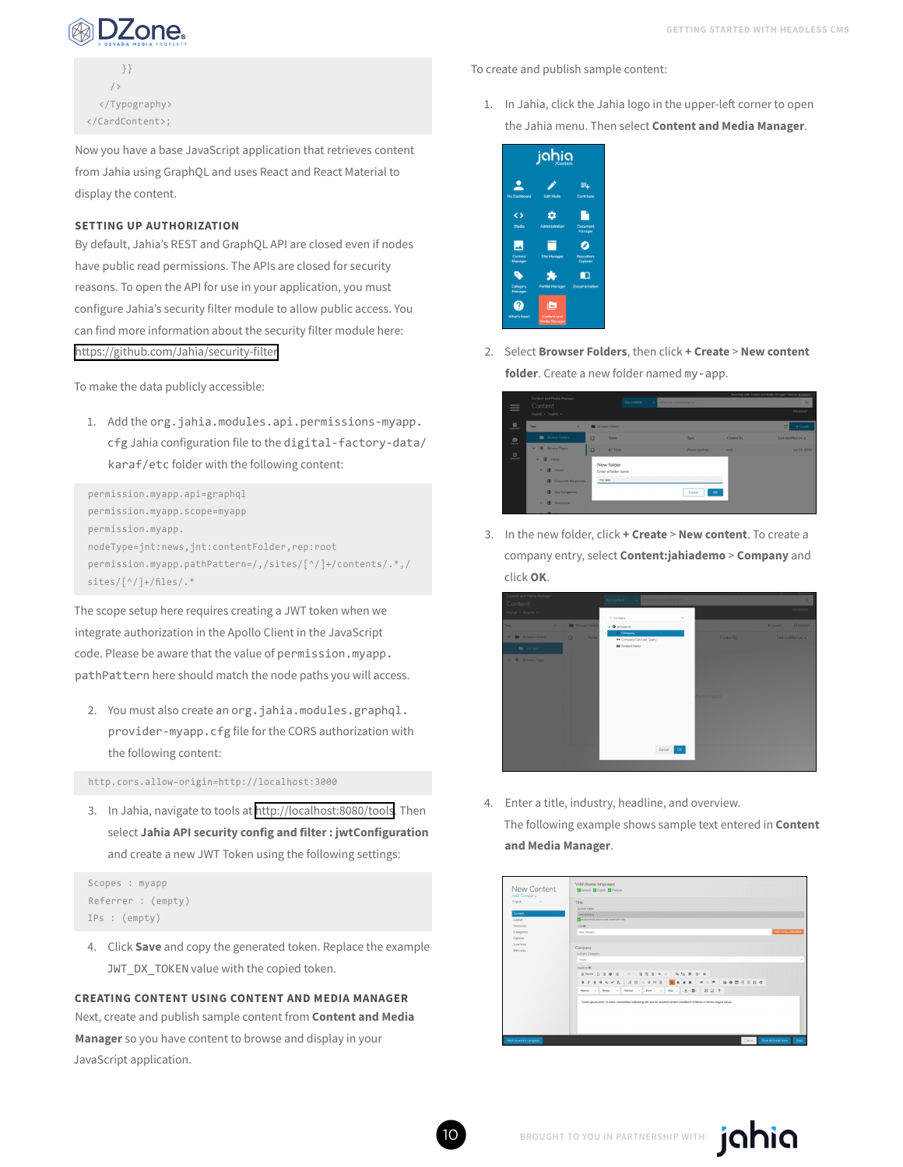

 }}  $/$  </Typography> </CardContent>;

Now you have a base JavaScript application that retrieves content from Jahia using GraphQL and uses React and React Material to display the content.

#### **SETTING UP AUTHORIZATION**

By default, Jahia's REST and GraphQL API are closed even if nodes have public read permissions. The APIs are closed for security reasons. To open the API for use in your application, you must configure Jahia's security filter module to allow public access. You can find more information about the security filter module here: <https://github.com/Jahia/security-filter>

To make the data publicly accessible:

1. Add the org.jahia.modules.api.permissions-myapp. cfg Jahia configuration file to the digital-factory-data/ karaf/etc folder with the following content:

```
permission.myapp.api=graphql
permission.myapp.scope=myapp
permission.myapp.
nodeType=jnt:news,jnt:contentFolder,rep:root
permission.myapp.pathPattern=/,/sites/[^/]+/contents/.*,/
sites/[^/]+/files/.*
```
The scope setup here requires creating a JWT token when we integrate authorization in the Apollo Client in the JavaScript code. Please be aware that the value of permission.myapp. pathPattern here should match the node paths you will access.

2. You must also create an org.jahia.modules.graphql. provider-myapp.cfg file for the CORS authorization with the following content:

http.cors.allow-origin=http://localhost:3000

3. In Jahia, navigate to tools at<http://localhost:8080/tools>. Then select **Jahia API security config and filter : jwtConfiguration** and create a new JWT Token using the following settings:

```
Scopes : myapp
Referrer : (empty)
IPs : (empty)
```
4. Click **Save** and copy the generated token. Replace the example JWT\_DX\_TOKEN value with the copied token.

**CREATING CONTENT USING CONTENT AND MEDIA MANAGER** Next, create and publish sample content from **Content and Media Manager** so you have content to browse and display in your JavaScript application.

To create and publish sample content:

1. In Jahia, click the Jahia logo in the upper-left corner to open the Jahia menu. Then select **Content and Media Manager**.



2. Select **Browser Folders**, then click **+ Create** > **New content folder**. Create a new folder named my-app.

|                           | Content and Media Manager              |                         |                       |                           |             | Need help with Contest and Media Hanager? Visit our Azademy. |
|---------------------------|----------------------------------------|-------------------------|-----------------------|---------------------------|-------------|--------------------------------------------------------------|
| $\equiv$                  | Content                                |                         | Any contant<br>$\sim$ | What are you looking for? |             | $\alpha$                                                     |
|                           | Digital v English v                    |                         |                       |                           |             | Advanced                                                     |
| $\frac{\Pi}{\text{core}}$ | Trees<br>$\epsilon$                    | <b>B</b> Browns Folders |                       |                           |             | + Create<br>$\alpha$                                         |
| 息                         | <b>B</b> Browne Folders                | $\Box$<br><b>Name</b>   |                       | Type                      | Created By  | Last modified on $\Phi$                                      |
|                           | C Browse Pages<br>$\mathbf{v}$         | $\Box$<br>El Tabar      |                       | Person pertrait           | <b>FECC</b> | Jan 21, 2016                                                 |
| $\Box$                    | $\blacksquare$<br>Home<br>$\checkmark$ | New folder              |                       |                           |             |                                                              |
|                           | $\blacksquare$<br>About<br>×           | Enter a folder name     |                       |                           |             |                                                              |
|                           | <b>B</b> Corporate Responsibl          | my-app                  |                       |                           |             |                                                              |
|                           | <b>B</b> Our Companies                 |                         |                       | $\alpha$<br>Cancel        |             |                                                              |
|                           | Newsroom<br>×                          |                         |                       |                           |             |                                                              |
|                           |                                        |                         |                       |                           |             |                                                              |

3. In the new folder, click **+ Create** > **New content**. To create a company entry, select **Content:jahiademo** > **Company** and click **OK**.



4. Enter a title, industry, headline, and overview. The following example shows sample text entered in **Content and Media Manager**.

| Title.<br>Sustem name:<br>PACIFICATA<br>Trie M:<br>McCompany | Automatically sunchronize name with title: |                    |  |  |  |                                                          |                                                          |                                                                                                                           |  |                                  |                      |
|--------------------------------------------------------------|--------------------------------------------|--------------------|--|--|--|----------------------------------------------------------|----------------------------------------------------------|---------------------------------------------------------------------------------------------------------------------------|--|----------------------------------|----------------------|
|                                                              |                                            |                    |  |  |  |                                                          |                                                          |                                                                                                                           |  |                                  |                      |
|                                                              |                                            |                    |  |  |  |                                                          |                                                          |                                                                                                                           |  |                                  |                      |
|                                                              |                                            |                    |  |  |  |                                                          |                                                          |                                                                                                                           |  |                                  |                      |
|                                                              |                                            |                    |  |  |  |                                                          |                                                          |                                                                                                                           |  |                                  |                      |
|                                                              |                                            |                    |  |  |  |                                                          |                                                          |                                                                                                                           |  |                                  | COPYTO ALL LANDIAGES |
|                                                              |                                            |                    |  |  |  |                                                          |                                                          |                                                                                                                           |  |                                  |                      |
|                                                              |                                            |                    |  |  |  |                                                          |                                                          |                                                                                                                           |  |                                  |                      |
| Company.                                                     |                                            |                    |  |  |  |                                                          |                                                          |                                                                                                                           |  |                                  |                      |
|                                                              |                                            |                    |  |  |  |                                                          |                                                          |                                                                                                                           |  |                                  |                      |
|                                                              |                                            |                    |  |  |  |                                                          |                                                          |                                                                                                                           |  |                                  |                      |
| Heading W:                                                   |                                            |                    |  |  |  |                                                          |                                                          |                                                                                                                           |  |                                  |                      |
|                                                              |                                            |                    |  |  |  |                                                          |                                                          |                                                                                                                           |  |                                  |                      |
|                                                              |                                            |                    |  |  |  |                                                          |                                                          |                                                                                                                           |  |                                  |                      |
|                                                              |                                            |                    |  |  |  |                                                          |                                                          |                                                                                                                           |  |                                  |                      |
|                                                              |                                            |                    |  |  |  |                                                          |                                                          |                                                                                                                           |  |                                  |                      |
|                                                              | Media                                      | Industry Category: |  |  |  | B Source   D B B   B   X & B B B   K +   Q 13   W   S- B | Macros - Styles - Normal - Fort - Son - A - O2 - 2( 금) ? | Lorem losum doky sit amet, consectetur adiziscing elit, sed do eiusmod tempor incididunt ut labore et dokye magna aliqua, |  | BIUSKYL HHORNE ERAN - OF GOMEOOG |                      |